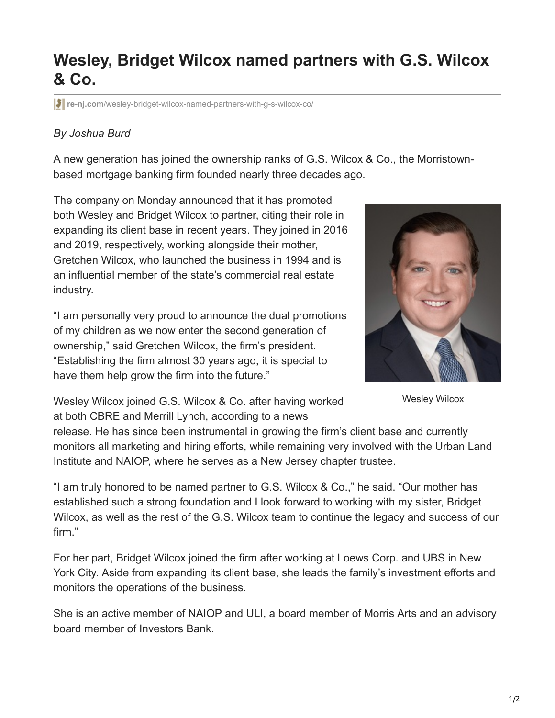## **Wesley, Bridget Wilcox named partners with G.S. Wilcox & Co.**

**re-nj.com**[/wesley-bridget-wilcox-named-partners-with-g-s-wilcox-co/](https://re-nj.com/wesley-bridget-wilcox-named-partners-with-g-s-wilcox-co/)

## *By Joshua Burd*

A new generation has joined the ownership ranks of G.S. Wilcox & Co., the Morristownbased mortgage banking firm founded nearly three decades ago.

The company on Monday announced that it has promoted both Wesley and Bridget Wilcox to partner, citing their role in expanding its client base in recent years. They joined in 2016 and 2019, respectively, working alongside their mother, Gretchen Wilcox, who launched the business in 1994 and is an influential member of the state's commercial real estate industry.

"I am personally very proud to announce the dual promotions of my children as we now enter the second generation of ownership," said Gretchen Wilcox, the firm's president. "Establishing the firm almost 30 years ago, it is special to have them help grow the firm into the future."



Wesley Wilcox

Wesley Wilcox joined G.S. Wilcox & Co. after having worked at both CBRE and Merrill Lynch, according to a news

release. He has since been instrumental in growing the firm's client base and currently monitors all marketing and hiring efforts, while remaining very involved with the Urban Land Institute and NAIOP, where he serves as a New Jersey chapter trustee.

"I am truly honored to be named partner to G.S. Wilcox & Co.," he said. "Our mother has established such a strong foundation and I look forward to working with my sister, Bridget Wilcox, as well as the rest of the G.S. Wilcox team to continue the legacy and success of our firm."

For her part, Bridget Wilcox joined the firm after working at Loews Corp. and UBS in New York City. Aside from expanding its client base, she leads the family's investment efforts and monitors the operations of the business.

She is an active member of NAIOP and ULI, a board member of Morris Arts and an advisory board member of Investors Bank.